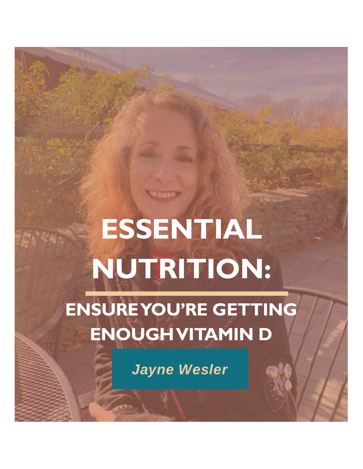## **ESSENTIAL NUTRITION:**

**ENSURE YOU'RE GETTING ENOUGH VITAMIN D**

*Jayne Wesler*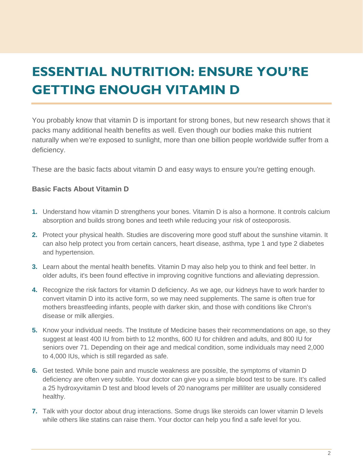## **ESSENTIAL NUTRITION: ENSURE YOU'RE GETTING ENOUGH VITAMIN D**

You probably know that vitamin D is important for strong bones, but new research shows that it packs many additional health benefits as well. Even though our bodies make this nutrient naturally when we're exposed to sunlight, more than one billion people worldwide suffer from a deficiency.

These are the basic facts about vitamin D and easy ways to ensure you're getting enough.

## **Basic Facts About Vitamin D**

- **1.** Understand how vitamin D strengthens your bones. Vitamin D is also a hormone. It controls calcium absorption and builds strong bones and teeth while reducing your risk of osteoporosis.
- **2.** Protect your physical health. Studies are discovering more good stuff about the sunshine vitamin. It can also help protect you from certain cancers, heart disease, asthma, type 1 and type 2 diabetes and hypertension.
- **3.** Learn about the mental health benefits. Vitamin D may also help you to think and feel better. In older adults, it's been found effective in improving cognitive functions and alleviating depression.
- **4.** Recognize the risk factors for vitamin D deficiency. As we age, our kidneys have to work harder to convert vitamin D into its active form, so we may need supplements. The same is often true for mothers breastfeeding infants, people with darker skin, and those with conditions like Chron's disease or milk allergies.
- **5.** Know your individual needs. The Institute of Medicine bases their recommendations on age, so they suggest at least 400 IU from birth to 12 months, 600 IU for children and adults, and 800 IU for seniors over 71. Depending on their age and medical condition, some individuals may need 2,000 to 4,000 IUs, which is still regarded as safe.
- **6.** Get tested. While bone pain and muscle weakness are possible, the symptoms of vitamin D deficiency are often very subtle. Your doctor can give you a simple blood test to be sure. It's called a 25 hydroxyvitamin D test and blood levels of 20 nanograms per milliliter are usually considered healthy.
- **7.** Talk with your doctor about drug interactions. Some drugs like steroids can lower vitamin D levels while others like statins can raise them. Your doctor can help you find a safe level for you.